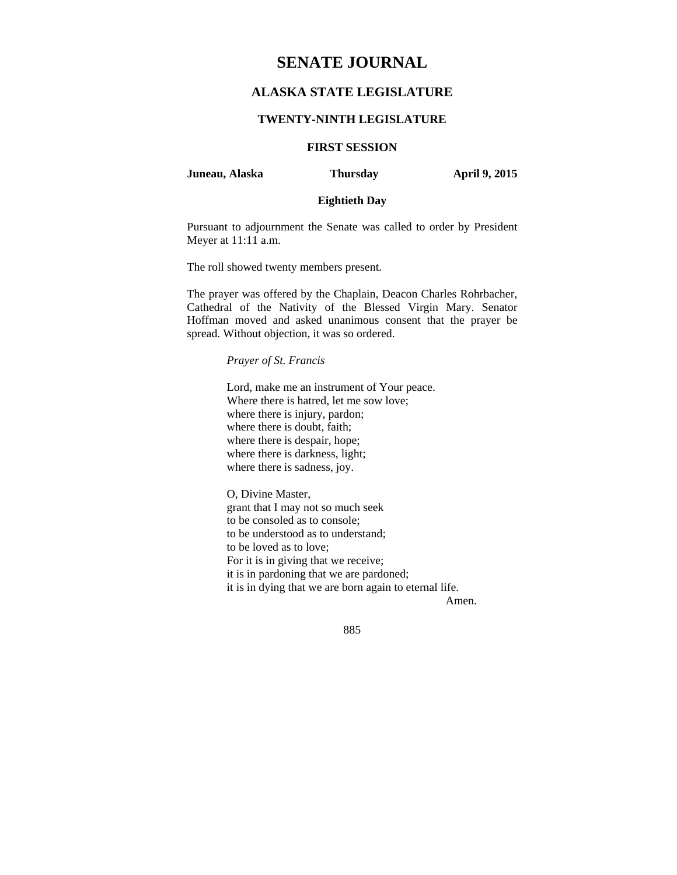# **SENATE JOURNAL**

## **ALASKA STATE LEGISLATURE**

## **TWENTY-NINTH LEGISLATURE**

# **FIRST SESSION**

## **Juneau, Alaska Thursday April 9, 2015**

## **Eightieth Day**

Pursuant to adjournment the Senate was called to order by President Meyer at 11:11 a.m.

The roll showed twenty members present.

The prayer was offered by the Chaplain, Deacon Charles Rohrbacher, Cathedral of the Nativity of the Blessed Virgin Mary. Senator Hoffman moved and asked unanimous consent that the prayer be spread. Without objection, it was so ordered.

#### *Prayer of St. Francis*

Lord, make me an instrument of Your peace. Where there is hatred, let me sow love; where there is injury, pardon; where there is doubt, faith; where there is despair, hope; where there is darkness, light; where there is sadness, joy.

O, Divine Master, grant that I may not so much seek to be consoled as to console; to be understood as to understand; to be loved as to love; For it is in giving that we receive; it is in pardoning that we are pardoned; it is in dying that we are born again to eternal life.

Amen.

885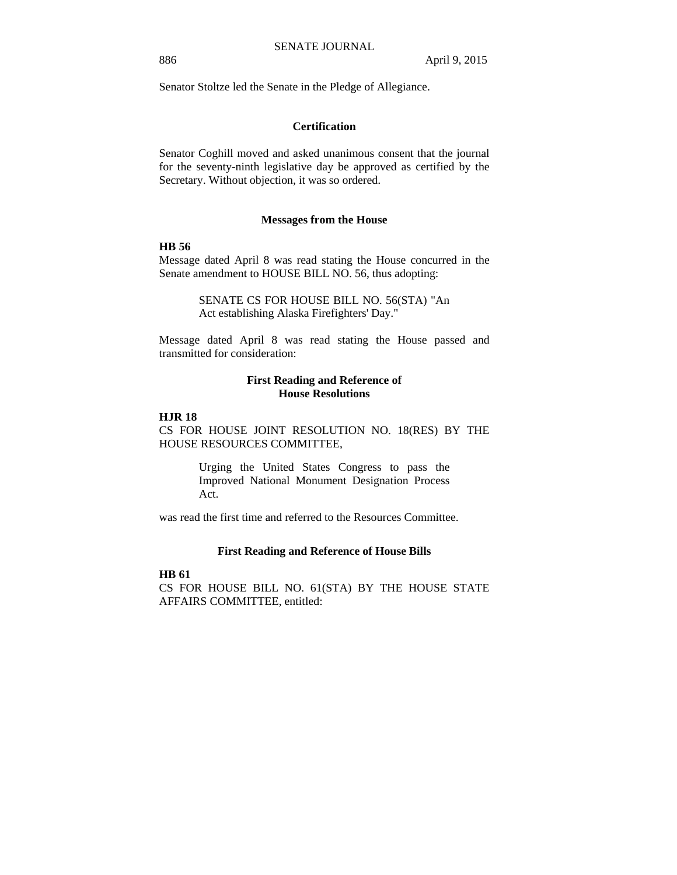Senator Stoltze led the Senate in the Pledge of Allegiance.

## **Certification**

Senator Coghill moved and asked unanimous consent that the journal for the seventy-ninth legislative day be approved as certified by the Secretary. Without objection, it was so ordered.

#### **Messages from the House**

## **HB 56**

Message dated April 8 was read stating the House concurred in the Senate amendment to HOUSE BILL NO. 56, thus adopting:

> SENATE CS FOR HOUSE BILL NO. 56(STA) "An Act establishing Alaska Firefighters' Day."

Message dated April 8 was read stating the House passed and transmitted for consideration:

## **First Reading and Reference of House Resolutions**

#### **HJR 18**

CS FOR HOUSE JOINT RESOLUTION NO. 18(RES) BY THE HOUSE RESOURCES COMMITTEE,

> Urging the United States Congress to pass the Improved National Monument Designation Process Act.

was read the first time and referred to the Resources Committee.

#### **First Reading and Reference of House Bills**

#### **HB 61**

CS FOR HOUSE BILL NO. 61(STA) BY THE HOUSE STATE AFFAIRS COMMITTEE, entitled: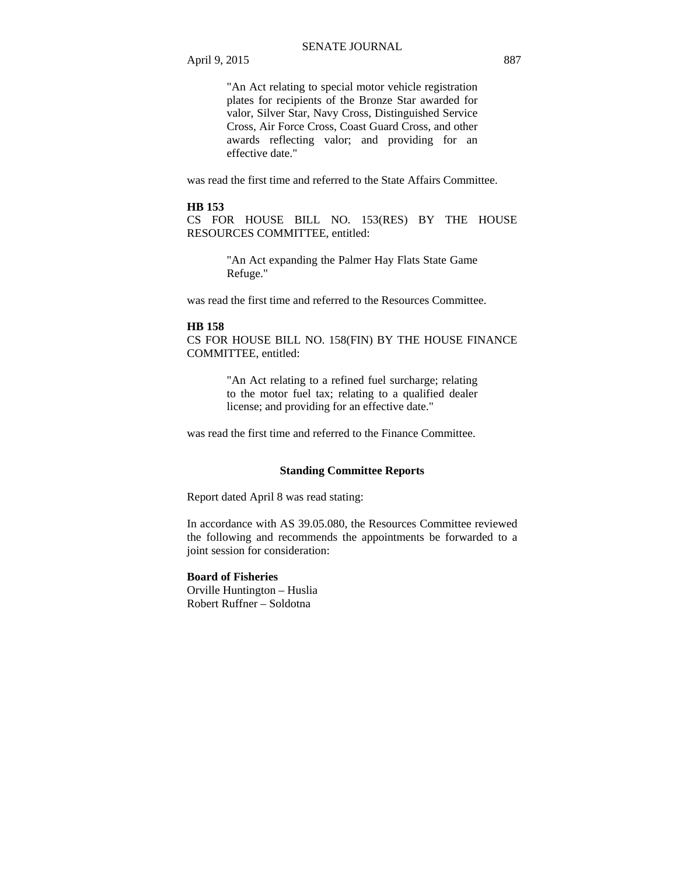"An Act relating to special motor vehicle registration plates for recipients of the Bronze Star awarded for valor, Silver Star, Navy Cross, Distinguished Service Cross, Air Force Cross, Coast Guard Cross, and other awards reflecting valor; and providing for an effective date."

was read the first time and referred to the State Affairs Committee.

#### **HB 153**

CS FOR HOUSE BILL NO. 153(RES) BY THE HOUSE RESOURCES COMMITTEE, entitled:

> "An Act expanding the Palmer Hay Flats State Game Refuge."

was read the first time and referred to the Resources Committee.

#### **HB 158**

CS FOR HOUSE BILL NO. 158(FIN) BY THE HOUSE FINANCE COMMITTEE, entitled:

> "An Act relating to a refined fuel surcharge; relating to the motor fuel tax; relating to a qualified dealer license; and providing for an effective date."

was read the first time and referred to the Finance Committee.

#### **Standing Committee Reports**

Report dated April 8 was read stating:

In accordance with AS 39.05.080, the Resources Committee reviewed the following and recommends the appointments be forwarded to a joint session for consideration:

## **Board of Fisheries**

Orville Huntington – Huslia Robert Ruffner – Soldotna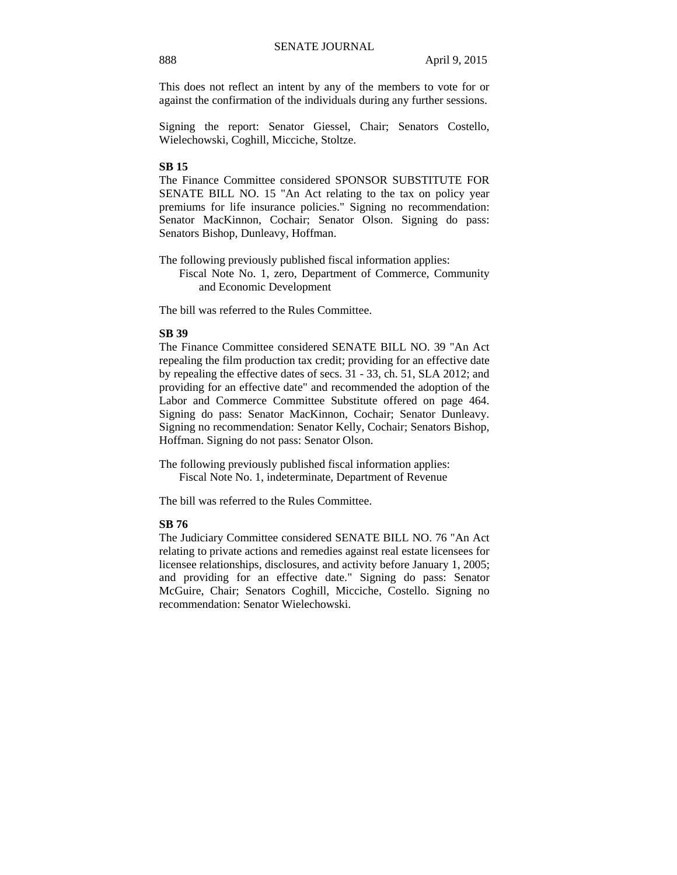This does not reflect an intent by any of the members to vote for or against the confirmation of the individuals during any further sessions.

Signing the report: Senator Giessel, Chair; Senators Costello, Wielechowski, Coghill, Micciche, Stoltze.

## **SB 15**

The Finance Committee considered SPONSOR SUBSTITUTE FOR SENATE BILL NO. 15 "An Act relating to the tax on policy year premiums for life insurance policies." Signing no recommendation: Senator MacKinnon, Cochair; Senator Olson. Signing do pass: Senators Bishop, Dunleavy, Hoffman.

The following previously published fiscal information applies:

Fiscal Note No. 1, zero, Department of Commerce, Community and Economic Development

The bill was referred to the Rules Committee.

## **SB 39**

The Finance Committee considered SENATE BILL NO. 39 "An Act repealing the film production tax credit; providing for an effective date by repealing the effective dates of secs. 31 - 33, ch. 51, SLA 2012; and providing for an effective date" and recommended the adoption of the Labor and Commerce Committee Substitute offered on page 464. Signing do pass: Senator MacKinnon, Cochair; Senator Dunleavy. Signing no recommendation: Senator Kelly, Cochair; Senators Bishop, Hoffman. Signing do not pass: Senator Olson.

The following previously published fiscal information applies: Fiscal Note No. 1, indeterminate, Department of Revenue

The bill was referred to the Rules Committee.

### **SB 76**

The Judiciary Committee considered SENATE BILL NO. 76 "An Act relating to private actions and remedies against real estate licensees for licensee relationships, disclosures, and activity before January 1, 2005; and providing for an effective date." Signing do pass: Senator McGuire, Chair; Senators Coghill, Micciche, Costello. Signing no recommendation: Senator Wielechowski.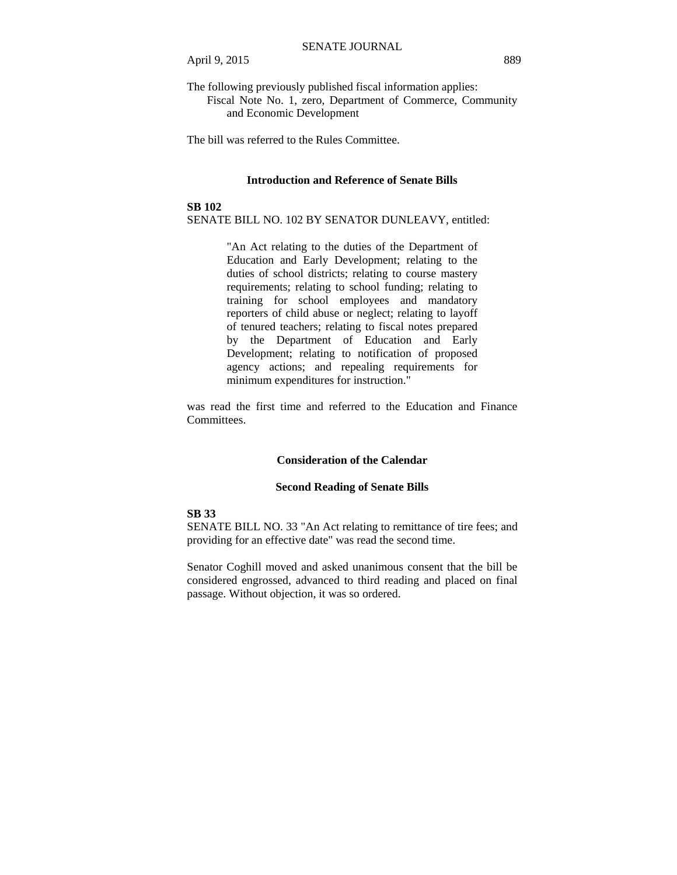The following previously published fiscal information applies: Fiscal Note No. 1, zero, Department of Commerce, Community and Economic Development

The bill was referred to the Rules Committee.

#### **Introduction and Reference of Senate Bills**

#### **SB 102**

SENATE BILL NO. 102 BY SENATOR DUNLEAVY, entitled:

"An Act relating to the duties of the Department of Education and Early Development; relating to the duties of school districts; relating to course mastery requirements; relating to school funding; relating to training for school employees and mandatory reporters of child abuse or neglect; relating to layoff of tenured teachers; relating to fiscal notes prepared by the Department of Education and Early Development; relating to notification of proposed agency actions; and repealing requirements for minimum expenditures for instruction."

was read the first time and referred to the Education and Finance Committees.

#### **Consideration of the Calendar**

#### **Second Reading of Senate Bills**

#### **SB 33**

SENATE BILL NO. 33 "An Act relating to remittance of tire fees; and providing for an effective date" was read the second time.

Senator Coghill moved and asked unanimous consent that the bill be considered engrossed, advanced to third reading and placed on final passage. Without objection, it was so ordered.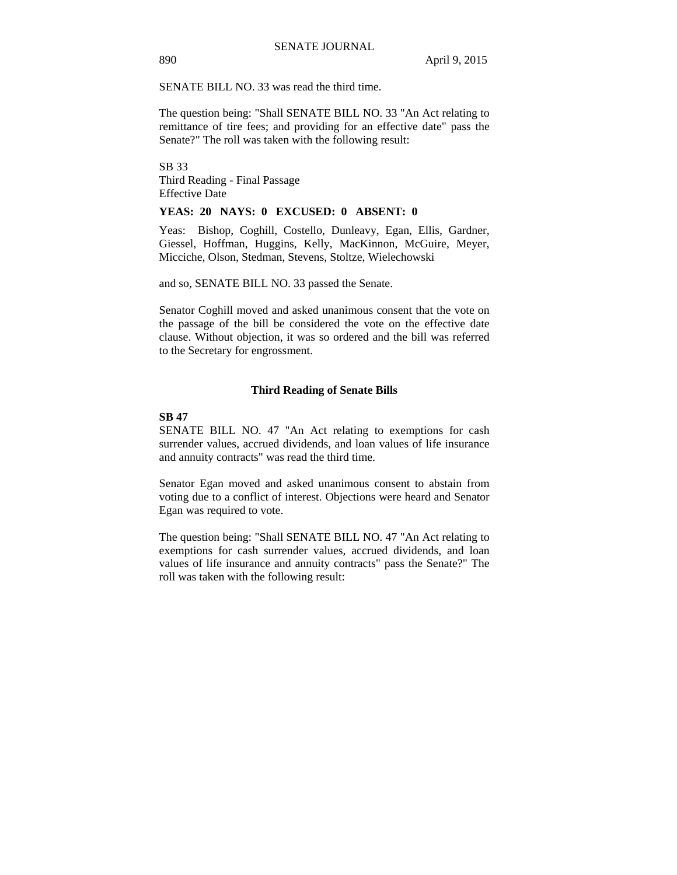#### SENATE BILL NO. 33 was read the third time.

The question being: "Shall SENATE BILL NO. 33 "An Act relating to remittance of tire fees; and providing for an effective date" pass the Senate?" The roll was taken with the following result:

SB 33 Third Reading - Final Passage Effective Date

#### **YEAS: 20 NAYS: 0 EXCUSED: 0 ABSENT: 0**

Yeas: Bishop, Coghill, Costello, Dunleavy, Egan, Ellis, Gardner, Giessel, Hoffman, Huggins, Kelly, MacKinnon, McGuire, Meyer, Micciche, Olson, Stedman, Stevens, Stoltze, Wielechowski

and so, SENATE BILL NO. 33 passed the Senate.

Senator Coghill moved and asked unanimous consent that the vote on the passage of the bill be considered the vote on the effective date clause. Without objection, it was so ordered and the bill was referred to the Secretary for engrossment.

#### **Third Reading of Senate Bills**

#### **SB 47**

SENATE BILL NO. 47 "An Act relating to exemptions for cash surrender values, accrued dividends, and loan values of life insurance and annuity contracts" was read the third time.

Senator Egan moved and asked unanimous consent to abstain from voting due to a conflict of interest. Objections were heard and Senator Egan was required to vote.

The question being: "Shall SENATE BILL NO. 47 "An Act relating to exemptions for cash surrender values, accrued dividends, and loan values of life insurance and annuity contracts" pass the Senate?" The roll was taken with the following result: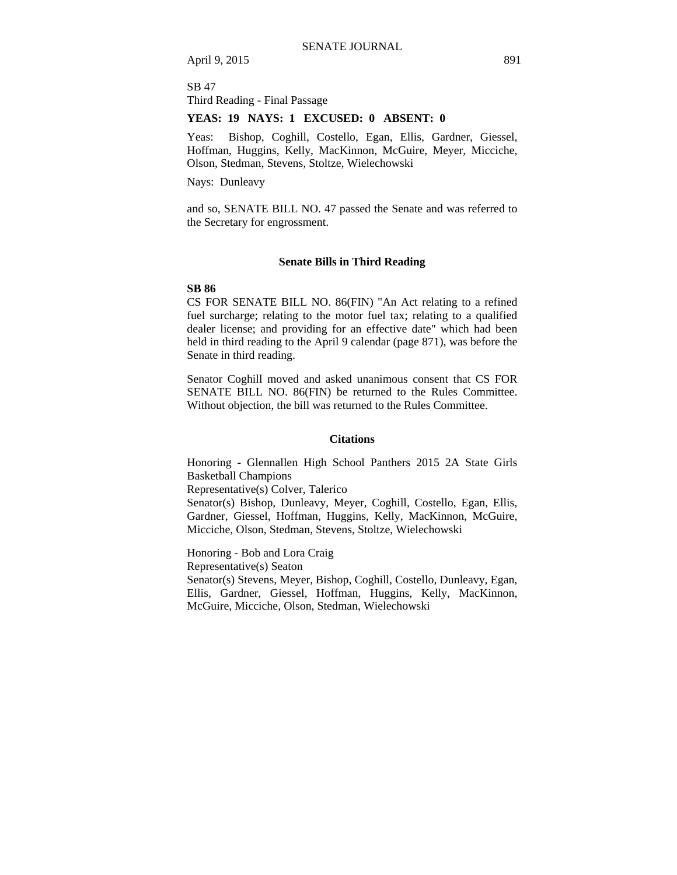April 9, 2015 891

SB 47 Third Reading - Final Passage

#### **YEAS: 19 NAYS: 1 EXCUSED: 0 ABSENT: 0**

Yeas: Bishop, Coghill, Costello, Egan, Ellis, Gardner, Giessel, Hoffman, Huggins, Kelly, MacKinnon, McGuire, Meyer, Micciche, Olson, Stedman, Stevens, Stoltze, Wielechowski

Nays: Dunleavy

and so, SENATE BILL NO. 47 passed the Senate and was referred to the Secretary for engrossment.

#### **Senate Bills in Third Reading**

#### **SB 86**

CS FOR SENATE BILL NO. 86(FIN) "An Act relating to a refined fuel surcharge; relating to the motor fuel tax; relating to a qualified dealer license; and providing for an effective date" which had been held in third reading to the April 9 calendar (page 871), was before the Senate in third reading.

Senator Coghill moved and asked unanimous consent that CS FOR SENATE BILL NO. 86(FIN) be returned to the Rules Committee. Without objection, the bill was returned to the Rules Committee.

#### **Citations**

Honoring - Glennallen High School Panthers 2015 2A State Girls Basketball Champions

Representative(s) Colver, Talerico

Senator(s) Bishop, Dunleavy, Meyer, Coghill, Costello, Egan, Ellis, Gardner, Giessel, Hoffman, Huggins, Kelly, MacKinnon, McGuire, Micciche, Olson, Stedman, Stevens, Stoltze, Wielechowski

Honoring - Bob and Lora Craig Representative(s) Seaton Senator(s) Stevens, Meyer, Bishop, Coghill, Costello, Dunleavy, Egan, Ellis, Gardner, Giessel, Hoffman, Huggins, Kelly, MacKinnon, McGuire, Micciche, Olson, Stedman, Wielechowski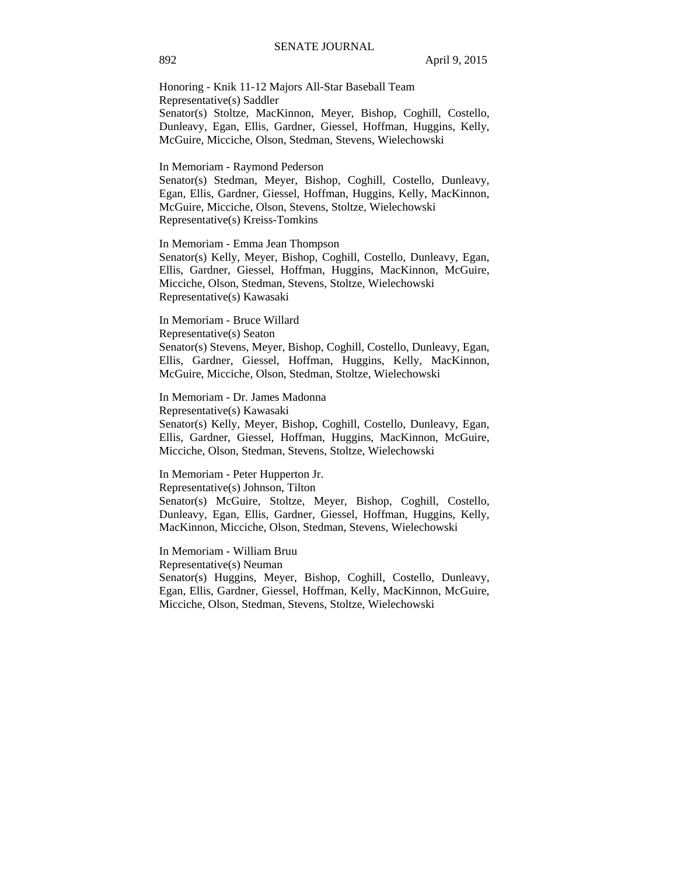Honoring - Knik 11-12 Majors All-Star Baseball Team Representative(s) Saddler Senator(s) Stoltze, MacKinnon, Meyer, Bishop, Coghill, Costello, Dunleavy, Egan, Ellis, Gardner, Giessel, Hoffman, Huggins, Kelly, McGuire, Micciche, Olson, Stedman, Stevens, Wielechowski

In Memoriam - Raymond Pederson

Senator(s) Stedman, Meyer, Bishop, Coghill, Costello, Dunleavy, Egan, Ellis, Gardner, Giessel, Hoffman, Huggins, Kelly, MacKinnon, McGuire, Micciche, Olson, Stevens, Stoltze, Wielechowski Representative(s) Kreiss-Tomkins

In Memoriam - Emma Jean Thompson Senator(s) Kelly, Meyer, Bishop, Coghill, Costello, Dunleavy, Egan, Ellis, Gardner, Giessel, Hoffman, Huggins, MacKinnon, McGuire, Micciche, Olson, Stedman, Stevens, Stoltze, Wielechowski Representative(s) Kawasaki

In Memoriam - Bruce Willard Representative(s) Seaton Senator(s) Stevens, Meyer, Bishop, Coghill, Costello, Dunleavy, Egan, Ellis, Gardner, Giessel, Hoffman, Huggins, Kelly, MacKinnon, McGuire, Micciche, Olson, Stedman, Stoltze, Wielechowski

In Memoriam - Dr. James Madonna Representative(s) Kawasaki

Senator(s) Kelly, Meyer, Bishop, Coghill, Costello, Dunleavy, Egan, Ellis, Gardner, Giessel, Hoffman, Huggins, MacKinnon, McGuire, Micciche, Olson, Stedman, Stevens, Stoltze, Wielechowski

In Memoriam - Peter Hupperton Jr.

Representative(s) Johnson, Tilton

Senator(s) McGuire, Stoltze, Meyer, Bishop, Coghill, Costello, Dunleavy, Egan, Ellis, Gardner, Giessel, Hoffman, Huggins, Kelly, MacKinnon, Micciche, Olson, Stedman, Stevens, Wielechowski

In Memoriam - William Bruu

Representative(s) Neuman

Senator(s) Huggins, Meyer, Bishop, Coghill, Costello, Dunleavy, Egan, Ellis, Gardner, Giessel, Hoffman, Kelly, MacKinnon, McGuire, Micciche, Olson, Stedman, Stevens, Stoltze, Wielechowski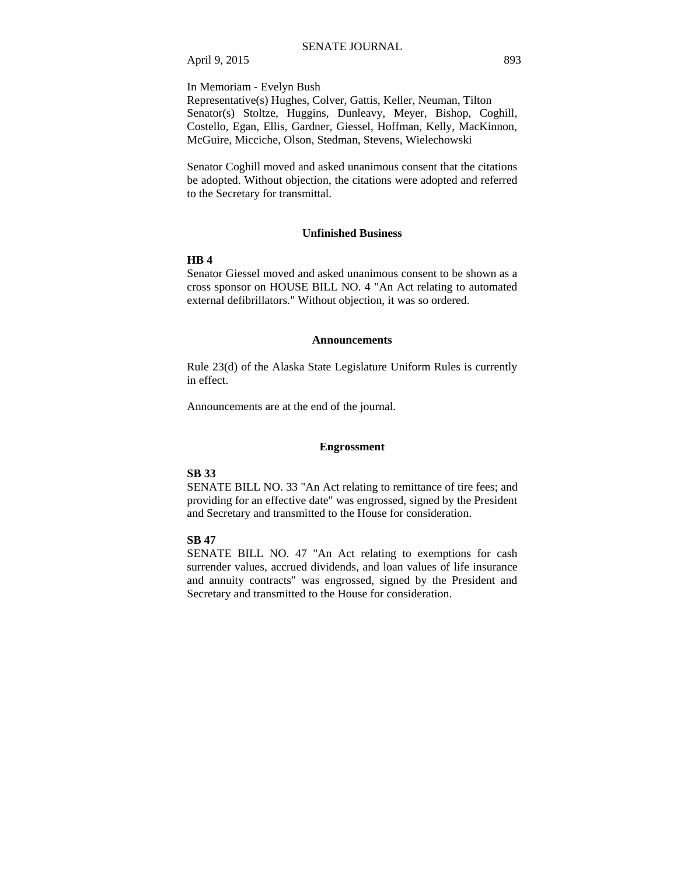April 9, 2015 893

In Memoriam - Evelyn Bush

Representative(s) Hughes, Colver, Gattis, Keller, Neuman, Tilton Senator(s) Stoltze, Huggins, Dunleavy, Meyer, Bishop, Coghill, Costello, Egan, Ellis, Gardner, Giessel, Hoffman, Kelly, MacKinnon, McGuire, Micciche, Olson, Stedman, Stevens, Wielechowski

Senator Coghill moved and asked unanimous consent that the citations be adopted. Without objection, the citations were adopted and referred to the Secretary for transmittal.

#### **Unfinished Business**

#### **HB 4**

Senator Giessel moved and asked unanimous consent to be shown as a cross sponsor on HOUSE BILL NO. 4 "An Act relating to automated external defibrillators." Without objection, it was so ordered.

#### **Announcements**

Rule 23(d) of the Alaska State Legislature Uniform Rules is currently in effect.

Announcements are at the end of the journal.

#### **Engrossment**

## **SB 33**

SENATE BILL NO. 33 "An Act relating to remittance of tire fees; and providing for an effective date" was engrossed, signed by the President and Secretary and transmitted to the House for consideration.

## **SB 47**

SENATE BILL NO. 47 "An Act relating to exemptions for cash surrender values, accrued dividends, and loan values of life insurance and annuity contracts" was engrossed, signed by the President and Secretary and transmitted to the House for consideration.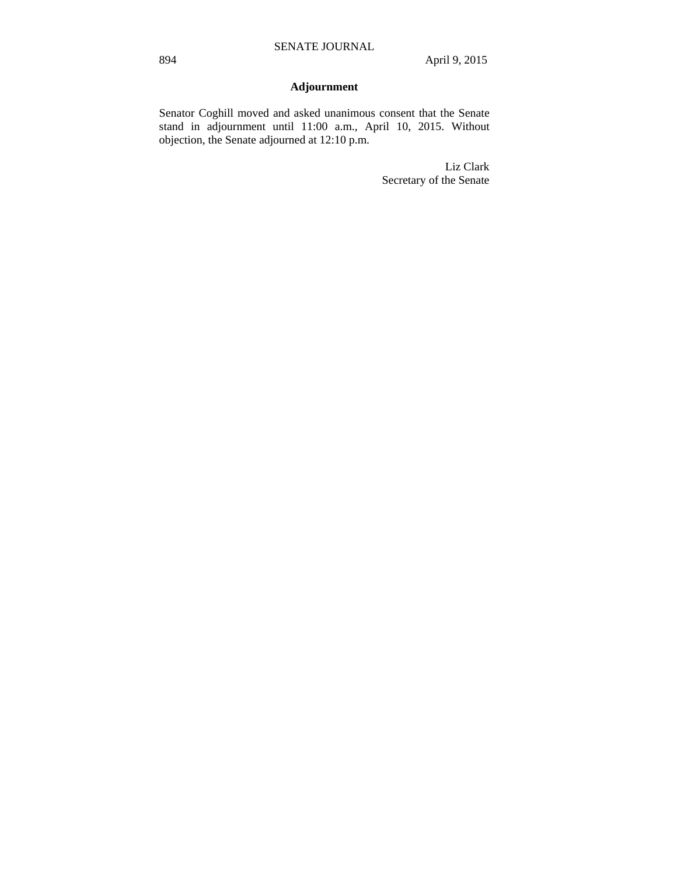## **Adjournment**

Senator Coghill moved and asked unanimous consent that the Senate stand in adjournment until 11:00 a.m., April 10, 2015. Without objection, the Senate adjourned at 12:10 p.m.

> Liz Clark Secretary of the Senate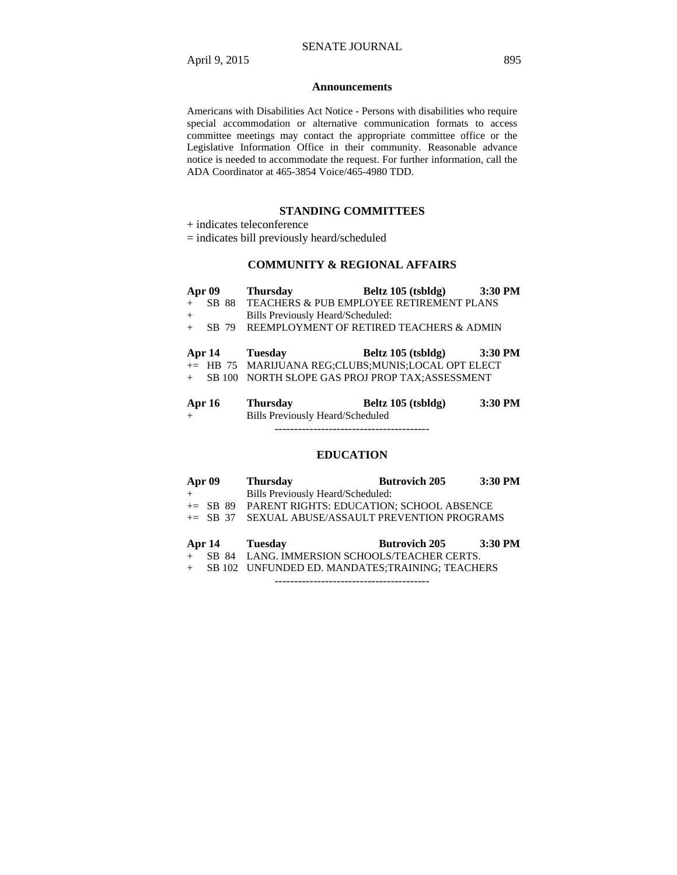#### **Announcements**

Americans with Disabilities Act Notice - Persons with disabilities who require special accommodation or alternative communication formats to access committee meetings may contact the appropriate committee office or the Legislative Information Office in their community. Reasonable advance notice is needed to accommodate the request. For further information, call the ADA Coordinator at 465-3854 Voice/465-4980 TDD.

## **STANDING COMMITTEES**

- + indicates teleconference
- = indicates bill previously heard/scheduled

## **COMMUNITY & REGIONAL AFFAIRS**

|               | Apr 09 | <b>Thursday</b>                   | Beltz 105 (tsbldg)                                 | 3:30 PM |
|---------------|--------|-----------------------------------|----------------------------------------------------|---------|
|               |        |                                   | SB 88 TEACHERS & PUB EMPLOYEE RETIREMENT PLANS     |         |
| $+$           |        | Bills Previously Heard/Scheduled: |                                                    |         |
|               | SB 79  |                                   | REEMPLOYMENT OF RETIRED TEACHERS & ADMIN           |         |
|               |        |                                   |                                                    |         |
|               |        | Apr 14 Tuesday                    | Beltz 105 (tsbldg)                                 | 3:30 PM |
|               |        |                                   | += HB 75 MARIJUANA REG;CLUBS;MUNIS;LOCAL OPT ELECT |         |
|               |        |                                   | SB 100 NORTH SLOPE GAS PROJ PROP TAX; ASSESSMENT   |         |
|               |        |                                   |                                                    |         |
| <b>Apr 16</b> |        | <b>Thursday</b>                   | Beltz 105 (tsbldg)                                 | 3:30 PM |

+ Bills Previously Heard/Scheduled

----------------------------------------

## **EDUCATION**

| <b>Apr 09</b> | <b>Thursday</b>                                      | <b>Butrovich 205</b> | 3:30 PM |
|---------------|------------------------------------------------------|----------------------|---------|
|               | Bills Previously Heard/Scheduled:                    |                      |         |
|               | $\pm$ SB 89 PARENT RIGHTS: EDUCATION: SCHOOL ABSENCE |                      |         |
|               | += SB 37 SEXUAL ABUSE/ASSAULT PREVENTION PROGRAMS    |                      |         |
|               |                                                      |                      |         |
| <b>Apr 14</b> | <b>Tuesday</b>                                       | <b>Butrovich 205</b> | 3:30 PM |

- + SB 84 LANG. IMMERSION SCHOOLS/TEACHER CERTS.
- + SB 102 UNFUNDED ED. MANDATES;TRAINING; TEACHERS

----------------------------------------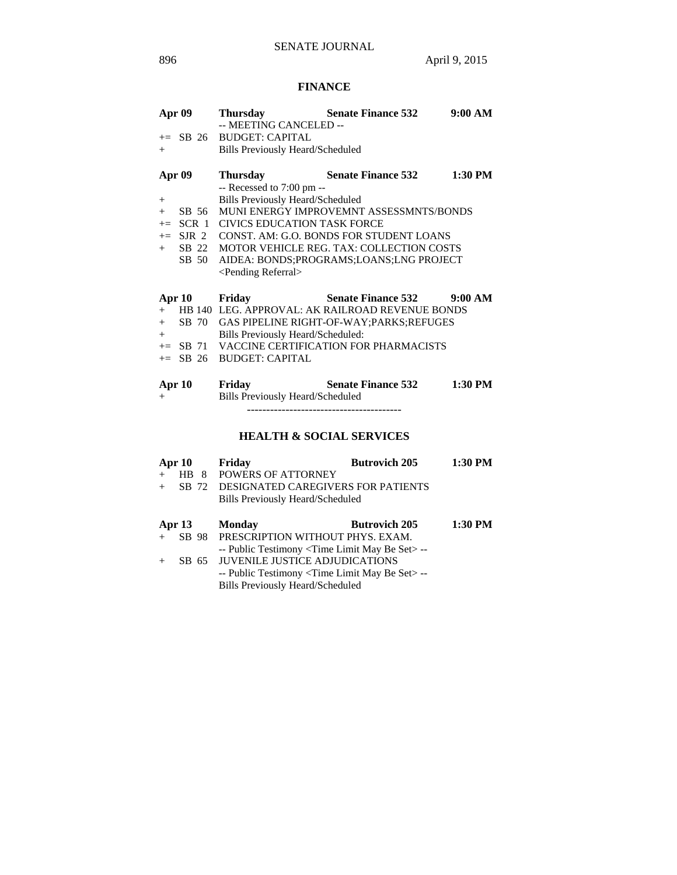## **FINANCE**

| <b>Apr 09</b> | <b>Thursday</b><br>-- MEETING CANCELED -- | <b>Senate Finance 532</b>                          | 9:00 AM |
|---------------|-------------------------------------------|----------------------------------------------------|---------|
|               | += SB 26 BUDGET: CAPITAL                  |                                                    |         |
| $+$           | <b>Bills Previously Heard/Scheduled</b>   |                                                    |         |
| Apr 09        |                                           | <b>Thursday Senate Finance 532</b>                 | 1:30 PM |
|               | -- Recessed to 7:00 pm --                 |                                                    |         |
| $^{+}$        | <b>Bills Previously Heard/Scheduled</b>   |                                                    |         |
| $+$ SB 56     |                                           | MUNI ENERGY IMPROVEMNT ASSESSMNTS/BONDS            |         |
|               |                                           | += SCR 1 CIVICS EDUCATION TASK FORCE               |         |
|               |                                           | $+=$ SJR 2 CONST. AM: G.O. BONDS FOR STUDENT LOANS |         |
| $+$           |                                           | SB 22 MOTOR VEHICLE REG. TAX: COLLECTION COSTS     |         |
| SB 50         |                                           | AIDEA: BONDS;PROGRAMS;LOANS;LNG PROJECT            |         |
|               | <pending referral=""></pending>           |                                                    |         |
| Apr 10 Friday |                                           | Senate Finance 532 9:00 AM                         |         |
| $+$           |                                           | HB 140 LEG. APPROVAL: AK RAILROAD REVENUE BONDS    |         |
|               |                                           | + SB 70 GAS PIPELINE RIGHT-OF-WAY; PARKS; REFUGES  |         |
| $+$           | Bills Previously Heard/Scheduled:         |                                                    |         |
|               |                                           | += SB 71 VACCINE CERTIFICATION FOR PHARMACISTS     |         |
|               | $\leftarrow$ SB 26 BUDGET: CAPITAL        |                                                    |         |
| Apr 10        | Friday                                    | <b>Senate Finance 532</b>                          | 1:30 PM |
| $+$           | Bills Previously Heard/Scheduled          |                                                    |         |
|               |                                           |                                                    |         |
|               |                                           | <b>HEALTH &amp; SOCIAL SERVICES</b>                |         |
| Apr 10        | Friday                                    | <b>Butrovich 205</b>                               | 1:30 PM |

|     | Api 10   | PILUAV                                           | DULL OVICH 405       | 1VU 1 IVI |
|-----|----------|--------------------------------------------------|----------------------|-----------|
| $+$ |          | HB 8 POWERS OF ATTORNEY                          |                      |           |
| $+$ |          | SB 72 DESIGNATED CAREGIVERS FOR PATIENTS         |                      |           |
|     |          | Bills Previously Heard/Scheduled                 |                      |           |
|     | Apr $13$ | <b>Monday</b>                                    | <b>Butrovich 205</b> | 1:30 PM   |
|     |          | SB 98 PRESCRIPTION WITHOUT PHYS. EXAM.           |                      |           |
|     |          | -- Public Testimony < Time Limit May Be Set > -- |                      |           |
|     |          | SB 65 JUVENILE JUSTICE ADJUDICATIONS             |                      |           |
|     |          | -- Public Testimony < Time Limit May Be Set > -- |                      |           |
|     |          | <b>Bills Previously Heard/Scheduled</b>          |                      |           |
|     |          |                                                  |                      |           |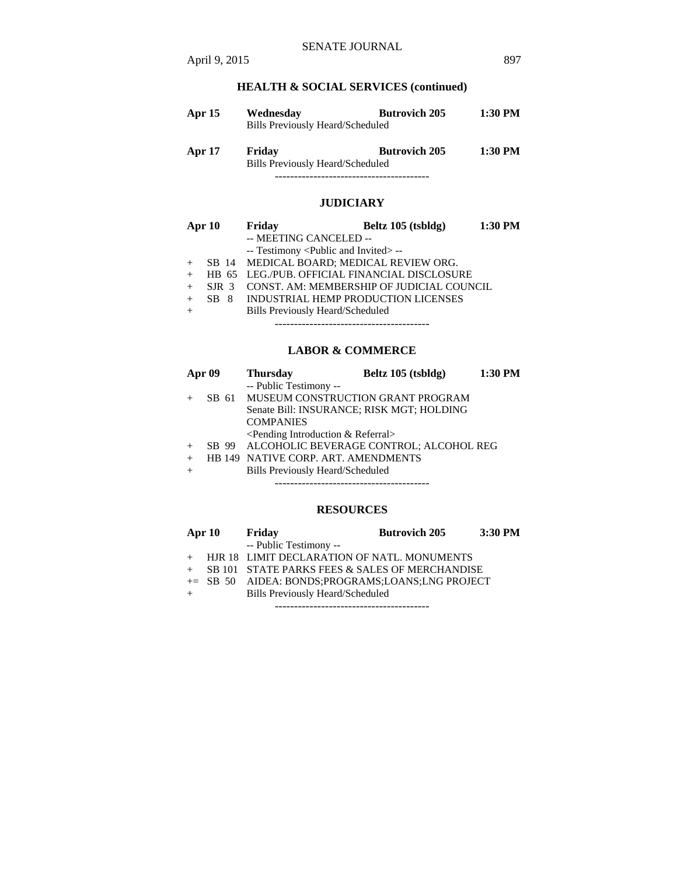## **HEALTH & SOCIAL SERVICES (continued)**

| <b>Apr</b> 15 | Wednesday<br>Bills Previously Heard/Scheduled | <b>Butrovich 205</b> | 1:30 PM |
|---------------|-----------------------------------------------|----------------------|---------|
| <b>Apr 17</b> | Friday<br>Bills Previously Heard/Scheduled    | <b>Butrovich 205</b> | 1:30 PM |

## **JUDICIARY**

----------------------------------------

| Apr 10 |                  | Friday                                              | Beltz 105 (tsbldg)                        | 1:30 PM |
|--------|------------------|-----------------------------------------------------|-------------------------------------------|---------|
|        |                  | -- MEETING CANCELED --                              |                                           |         |
|        |                  | -- Testimony <public and="" invited=""> --</public> |                                           |         |
|        |                  | SB 14 MEDICAL BOARD; MEDICAL REVIEW ORG.            |                                           |         |
|        |                  | HB 65 LEG./PUB. OFFICIAL FINANCIAL DISCLOSURE       |                                           |         |
|        | SIR <sub>3</sub> |                                                     | CONST. AM: MEMBERSHIP OF JUDICIAL COUNCIL |         |
|        | SB 8             | INDUSTRIAL HEMP PRODUCTION LICENSES                 |                                           |         |
|        |                  | <b>Bills Previously Heard/Scheduled</b>             |                                           |         |

----------------------------------------

## **LABOR & COMMERCE**

|                                           | Apr 09 | <b>Thursday</b>                               | Beltz 105 (tsbldg) | 1:30 PM |  |
|-------------------------------------------|--------|-----------------------------------------------|--------------------|---------|--|
|                                           |        | -- Public Testimony --                        |                    |         |  |
|                                           |        | SB 61 MUSEUM CONSTRUCTION GRANT PROGRAM       |                    |         |  |
| Senate Bill: INSURANCE; RISK MGT; HOLDING |        |                                               |                    |         |  |
|                                           |        | <b>COMPANIES</b>                              |                    |         |  |
|                                           |        | $\leq$ Pending Introduction & Referral $>$    |                    |         |  |
|                                           |        | SB 99 ALCOHOLIC BEVERAGE CONTROL; ALCOHOL REG |                    |         |  |
|                                           |        | HB 149 NATIVE CORP. ART. AMENDMENTS           |                    |         |  |
|                                           |        | Bills Previously Heard/Scheduled              |                    |         |  |
|                                           |        |                                               |                    |         |  |

### **RESOURCES**

| Apr $10$ | Friday                                           | <b>Butrovich 205</b> | $3:30$ PM |
|----------|--------------------------------------------------|----------------------|-----------|
|          | -- Public Testimony --                           |                      |           |
|          | HJR 18 LIMIT DECLARATION OF NATL. MONUMENTS      |                      |           |
|          | SB 101 STATE PARKS FEES & SALES OF MERCHANDISE   |                      |           |
|          | += SB 50 AIDEA: BONDS:PROGRAMS:LOANS:LNG PROJECT |                      |           |
|          | <b>Bills Previously Heard/Scheduled</b>          |                      |           |
|          |                                                  |                      |           |

April 9, 2015 897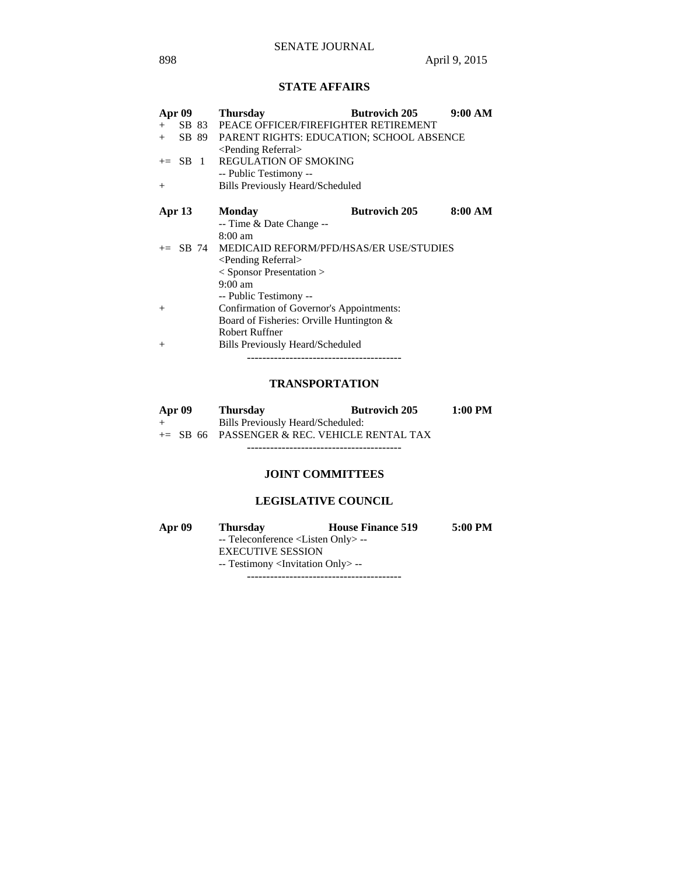## **STATE AFFAIRS**

| Apr 09 |               | <b>Thursday</b>                                  | <b>Butrovich 205</b> | 9:00 AM |
|--------|---------------|--------------------------------------------------|----------------------|---------|
| $+$    | SB 83         | PEACE OFFICER/FIREFIGHTER RETIREMENT             |                      |         |
| $+$    |               | SB 89 PARENT RIGHTS: EDUCATION; SCHOOL ABSENCE   |                      |         |
|        |               | <pending referral=""></pending>                  |                      |         |
|        | $\equiv$ SB 1 | <b>REGULATION OF SMOKING</b>                     |                      |         |
|        |               | -- Public Testimony --                           |                      |         |
| $^{+}$ |               | <b>Bills Previously Heard/Scheduled</b>          |                      |         |
| Apr 13 |               | <b>Monday</b>                                    | <b>Butrovich 205</b> | 8:00 AM |
|        |               | -- Time & Date Change --                         |                      |         |
|        |               | $8:00 \text{ am}$                                |                      |         |
|        |               | += SB 74 MEDICAID REFORM/PFD/HSAS/ER USE/STUDIES |                      |         |
|        |               | <pending referral=""></pending>                  |                      |         |
|        |               | $<$ Sponsor Presentation $>$                     |                      |         |
|        |               | $9:00$ am                                        |                      |         |
|        |               | -- Public Testimony --                           |                      |         |
| $^{+}$ |               | Confirmation of Governor's Appointments:         |                      |         |
|        |               | Board of Fisheries: Orville Huntington &         |                      |         |
|        |               | <b>Robert Ruffner</b>                            |                      |         |
| $^{+}$ |               | Bills Previously Heard/Scheduled                 |                      |         |
|        |               |                                                  |                      |         |

## **TRANSPORTATION**

| Apr 09 | <b>Thursday</b>                                | <b>Butrovich 205</b> | $1:00$ PM |
|--------|------------------------------------------------|----------------------|-----------|
| $+$    | Bills Previously Heard/Scheduled:              |                      |           |
|        | $+=$ SB 66 PASSENGER & REC. VEHICLE RENTAL TAX |                      |           |
|        |                                                |                      |           |

## **JOINT COMMITTEES**

## **LEGISLATIVE COUNCIL**

| Apr $09$ | <b>Thursday</b>                                   | <b>House Finance 519</b> | 5:00 PM |
|----------|---------------------------------------------------|--------------------------|---------|
|          | -- Teleconference <listen only="">--</listen>     |                          |         |
|          | <b>EXECUTIVE SESSION</b>                          |                          |         |
|          | -- Testimony <invitation only=""> --</invitation> |                          |         |

----------------------------------------